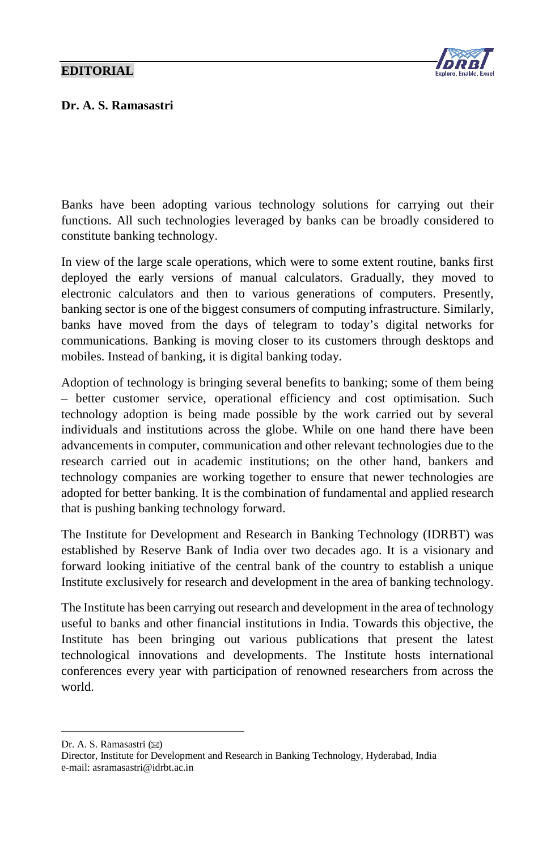## **EDITORIAL**



## Dr. A. S. Ramasastri

Banks have been adopting various technology solutions for carrying out their functions. All such technologies leveraged by banks can be broadly considered to constitute banking technology.

In view of the large scale operations, which were to some extent routine, banks first deployed the early versions of manual calculators. Gradually, they moved to electronic calculators and then to various generations of computers. Presently, banking sector is one of the biggest consumers of computing infrastructure. Similarly, banks have moved from the days of telegram to today's digital networks for communications. Banking is moving closer to its customers through desktops and mobiles. Instead of banking, it is digital banking today.

Adoption of technology is bringing several benefits to banking; some of them being – better customer service, operational efficiency and cost optimisation. Such technology adoption is being made possible by the work carried out by several individuals and institutions across the globe. While on one hand there have been advancements in computer, communication and other relevant technologies due to the research carried out in academic institutions; on the other hand, bankers and technology companies are working together to ensure that newer technologies are adopted for better banking. It is the combination of fundamental and applied research that is pushing banking technology forward.

The Institute for Development and Research in Banking Technology (IDRBT) was established by Reserve Bank of India over two decades ago. It is a visionary and forward looking initiative of the central bank of the country to establish a unique Institute exclusively for research and development in the area of banking technology.

The Institute has been carrying out research and development in the area of technology useful to banks and other financial institutions in India. Towards this objective, the Institute has been bringing out various publications that present the latest technological innovations and developments. The Institute hosts international conferences every year with participation of renowned researchers from across the world.

<span id="page-0-0"></span>Dr. A. S. Ramasastri ( $\boxtimes$ )

 $\overline{a}$ 

Director, Institute for Development and Research in Banking Technology, Hyderabad, India e-mail: asramasastri@idrbt.ac.in